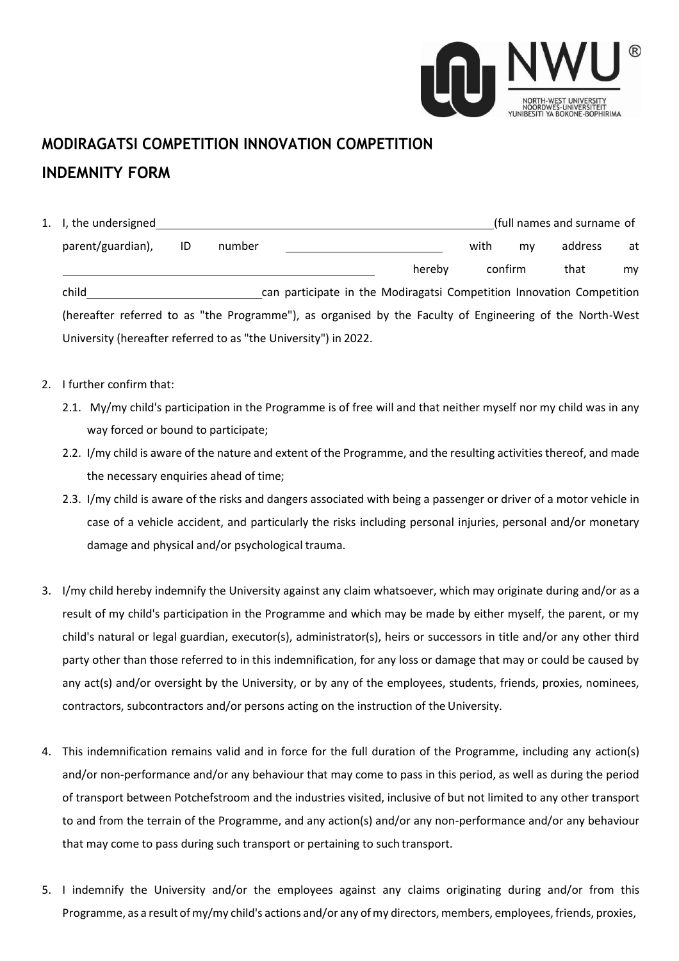

## **MODIRAGATSI COMPETITION INNOVATION COMPETITION INDEMNITY FORM**

| 1. I, the undersigned                                                                                    |    |                                                                       |  |        | (full names and surname of |         |         |    |  |
|----------------------------------------------------------------------------------------------------------|----|-----------------------------------------------------------------------|--|--------|----------------------------|---------|---------|----|--|
| parent/guardian),                                                                                        | ID | number                                                                |  |        | with                       | my      | address | at |  |
|                                                                                                          |    |                                                                       |  | hereby |                            | confirm | that    | my |  |
| child                                                                                                    |    | can participate in the Modiragatsi Competition Innovation Competition |  |        |                            |         |         |    |  |
| (hereafter referred to as "the Programme"), as organised by the Faculty of Engineering of the North-West |    |                                                                       |  |        |                            |         |         |    |  |
| University (hereafter referred to as "the University") in 2022.                                          |    |                                                                       |  |        |                            |         |         |    |  |

- 2. I further confirm that:
	- 2.1. My/my child's participation in the Programme is of free will and that neither myself nor my child was in any way forced or bound to participate;
	- 2.2. I/my child is aware of the nature and extent of the Programme, and the resulting activities thereof, and made the necessary enquiries ahead of time;
	- 2.3. I/my child is aware of the risks and dangers associated with being a passenger or driver of a motor vehicle in case of a vehicle accident, and particularly the risks including personal injuries, personal and/or monetary damage and physical and/or psychological trauma.
- 3. I/my child hereby indemnify the University against any claim whatsoever, which may originate during and/or as a result of my child's participation in the Programme and which may be made by either myself, the parent, or my child's natural or legal guardian, executor(s), administrator(s), heirs or successors in title and/or any other third party other than those referred to in this indemnification, for any loss or damage that may or could be caused by any act(s) and/or oversight by the University, or by any of the employees, students, friends, proxies, nominees, contractors, subcontractors and/or persons acting on the instruction of the University.
- 4. This indemnification remains valid and in force for the full duration of the Programme, including any action(s) and/or non-performance and/or any behaviour that may come to pass in this period, as well as during the period of transport between Potchefstroom and the industries visited, inclusive of but not limited to any other transport to and from the terrain of the Programme, and any action(s) and/or any non-performance and/or any behaviour that may come to pass during such transport or pertaining to such transport.
- 5. I indemnify the University and/or the employees against any claims originating during and/or from this Programme, as a result of my/my child's actions and/or any of my directors, members, employees, friends, proxies,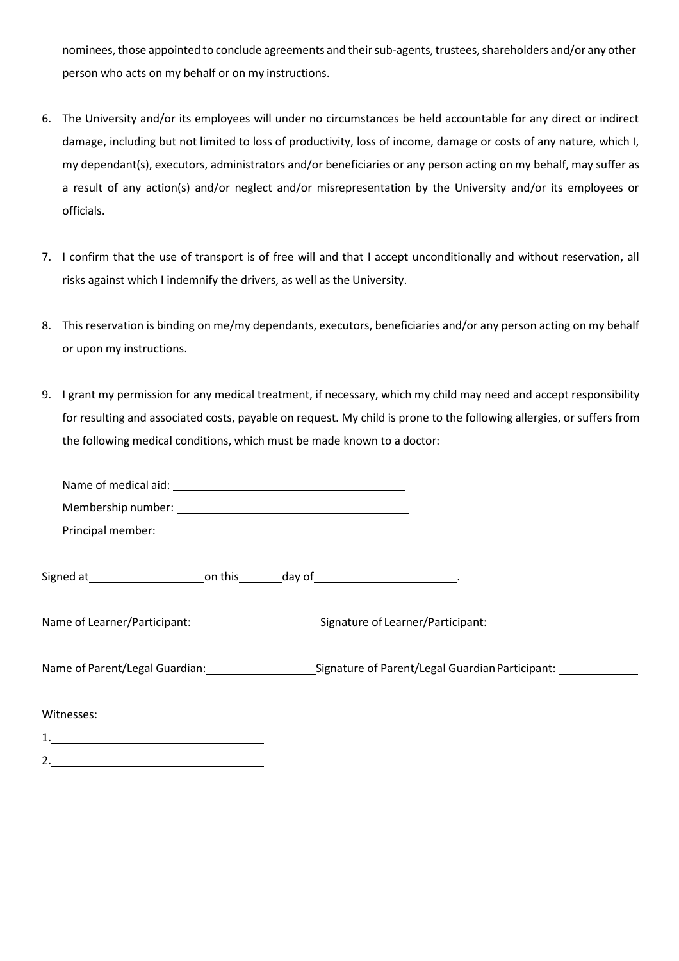nominees, those appointed to conclude agreements and their sub-agents, trustees, shareholders and/or any other person who acts on my behalf or on my instructions.

- 6. The University and/or its employees will under no circumstances be held accountable for any direct or indirect damage, including but not limited to loss of productivity, loss of income, damage or costs of any nature, which I, my dependant(s), executors, administrators and/or beneficiaries or any person acting on my behalf, may suffer as a result of any action(s) and/or neglect and/or misrepresentation by the University and/or its employees or officials.
- 7. I confirm that the use of transport is of free will and that I accept unconditionally and without reservation, all risks against which I indemnify the drivers, as well as the University.
- 8. This reservation is binding on me/my dependants, executors, beneficiaries and/or any person acting on my behalf or upon my instructions.
- 9. I grant my permission for any medical treatment, if necessary, which my child may need and accept responsibility for resulting and associated costs, payable on request. My child is prone to the following allergies, or suffers from the following medical conditions, which must be made known to a doctor:

| Signed at 1.1 Contact Control Control Control Control Control Control Control Control Control Control Control Co |  |
|------------------------------------------------------------------------------------------------------------------|--|
|                                                                                                                  |  |
|                                                                                                                  |  |
| Witnesses:                                                                                                       |  |
|                                                                                                                  |  |
| 2.                                                                                                               |  |